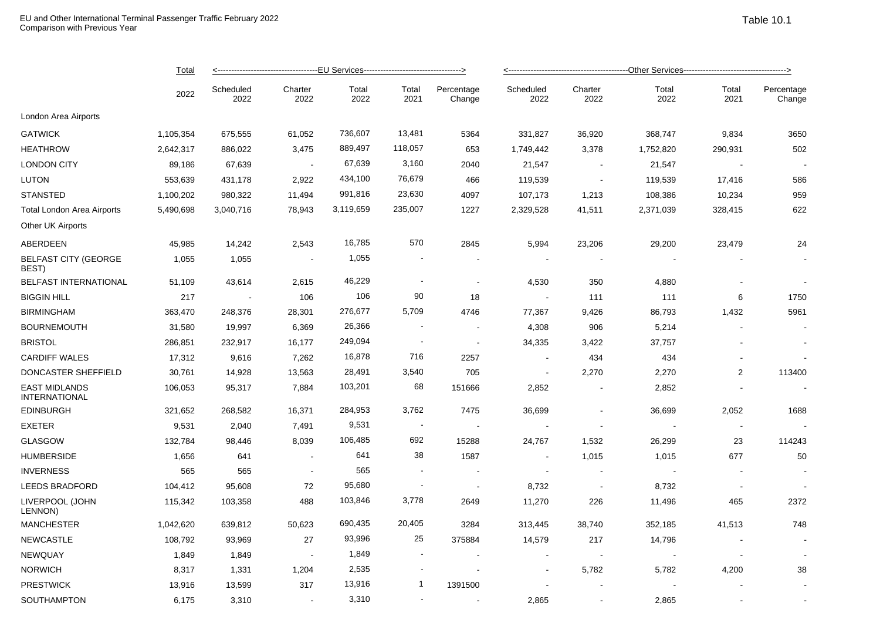|                                       | <b>Total</b><br>2022 |                   |                 |               |                |                          |                          |                          |               |                |                      |  |
|---------------------------------------|----------------------|-------------------|-----------------|---------------|----------------|--------------------------|--------------------------|--------------------------|---------------|----------------|----------------------|--|
|                                       |                      | Scheduled<br>2022 | Charter<br>2022 | Total<br>2022 | Total<br>2021  | Percentage<br>Change     | Scheduled<br>2022        | Charter<br>2022          | Total<br>2022 | Total<br>2021  | Percentage<br>Change |  |
| London Area Airports                  |                      |                   |                 |               |                |                          |                          |                          |               |                |                      |  |
| <b>GATWICK</b>                        | 1,105,354            | 675,555           | 61,052          | 736,607       | 13,481         | 5364                     | 331,827                  | 36,920                   | 368,747       | 9,834          | 3650                 |  |
| <b>HEATHROW</b>                       | 2,642,317            | 886,022           | 3,475           | 889,497       | 118,057        | 653                      | 1,749,442                | 3,378                    | 1,752,820     | 290,931        | 502                  |  |
| <b>LONDON CITY</b>                    | 89,186               | 67,639            | $\sim$          | 67,639        | 3,160          | 2040                     | 21,547                   | $\sim$                   | 21,547        |                |                      |  |
| LUTON                                 | 553,639              | 431,178           | 2,922           | 434,100       | 76,679         | 466                      | 119,539                  | $\sim$                   | 119,539       | 17,416         | 586                  |  |
| STANSTED                              | 1,100,202            | 980,322           | 11,494          | 991,816       | 23,630         | 4097                     | 107,173                  | 1,213                    | 108,386       | 10,234         | 959                  |  |
| Total London Area Airports            | 5,490,698            | 3,040,716         | 78,943          | 3,119,659     | 235,007        | 1227                     | 2,329,528                | 41,511                   | 2,371,039     | 328,415        | 622                  |  |
| Other UK Airports                     |                      |                   |                 |               |                |                          |                          |                          |               |                |                      |  |
| ABERDEEN                              | 45,985               | 14,242            | 2,543           | 16,785        | 570            | 2845                     | 5,994                    | 23,206                   | 29,200        | 23,479         | 24                   |  |
| <b>BELFAST CITY (GEORGE</b><br>BEST)  | 1,055                | 1,055             | $\sim$          | 1,055         |                | $\sim$                   | $\sim$                   |                          |               |                |                      |  |
| BELFAST INTERNATIONAL                 | 51,109               | 43,614            | 2,615           | 46,229        |                | $\sim$                   | 4,530                    | 350                      | 4,880         |                |                      |  |
| <b>BIGGIN HILL</b>                    | 217                  |                   | 106             | 106           | 90             | 18                       |                          | 111                      | 111           | 6              | 1750                 |  |
| <b>BIRMINGHAM</b>                     | 363,470              | 248,376           | 28,301          | 276,677       | 5,709          | 4746                     | 77,367                   | 9,426                    | 86,793        | 1,432          | 5961                 |  |
| <b>BOURNEMOUTH</b>                    | 31,580               | 19,997            | 6,369           | 26,366        |                | $\sim$                   | 4,308                    | 906                      | 5,214         |                |                      |  |
| <b>BRISTOL</b>                        | 286,851              | 232,917           | 16,177          | 249,094       | $\blacksquare$ | $\overline{\phantom{a}}$ | 34,335                   | 3,422                    | 37,757        |                |                      |  |
| <b>CARDIFF WALES</b>                  | 17,312               | 9,616             | 7,262           | 16,878        | 716            | 2257                     | $\sim$                   | 434                      | 434           |                |                      |  |
| DONCASTER SHEFFIELD                   | 30,761               | 14,928            | 13,563          | 28,491        | 3,540          | 705                      | $\sim$                   | 2,270                    | 2,270         | $\overline{2}$ | 113400               |  |
| <b>EAST MIDLANDS</b><br>INTERNATIONAL | 106,053              | 95,317            | 7,884           | 103,201       | 68             | 151666                   | 2,852                    | $\overline{\phantom{a}}$ | 2,852         |                |                      |  |
| <b>EDINBURGH</b>                      | 321,652              | 268,582           | 16,371          | 284,953       | 3,762          | 7475                     | 36,699                   |                          | 36,699        | 2,052          | 1688                 |  |
| EXETER                                | 9,531                | 2,040             | 7,491           | 9,531         |                | $\sim$                   | $\sim$                   | $\sim$                   |               | $\blacksquare$ |                      |  |
| <b>GLASGOW</b>                        | 132,784              | 98,446            | 8,039           | 106,485       | 692            | 15288                    | 24,767                   | 1,532                    | 26,299        | 23             | 114243               |  |
| <b>HUMBERSIDE</b>                     | 1,656                | 641               | $\sim$          | 641           | 38             | 1587                     |                          | 1,015                    | 1,015         | 677            | 50                   |  |
| <b>INVERNESS</b>                      | 565                  | 565               | $\sim$          | 565           |                | $\overline{\phantom{a}}$ | $\overline{\phantom{a}}$ | $\sim$                   |               |                |                      |  |
| <b>LEEDS BRADFORD</b>                 | 104,412              | 95,608            | 72              | 95,680        |                | $\sim$                   | 8,732                    | $\blacksquare$           | 8,732         |                |                      |  |
| LIVERPOOL (JOHN<br>LENNON)            | 115,342              | 103,358           | 488             | 103,846       | 3,778          | 2649                     | 11,270                   | 226                      | 11,496        | 465            | 2372                 |  |
| MANCHESTER                            | 1,042,620            | 639,812           | 50,623          | 690,435       | 20,405         | 3284                     | 313,445                  | 38,740                   | 352,185       | 41,513         | 748                  |  |
| NEWCASTLE                             | 108,792              | 93,969            | 27              | 93,996        | 25             | 375884                   | 14,579                   | 217                      | 14,796        |                |                      |  |
| NEWQUAY                               | 1,849                | 1,849             | $\sim$          | 1,849         |                | $\sim$                   | $\sim$                   | $\sim$                   |               | $\blacksquare$ |                      |  |
| NORWICH                               | 8,317                | 1,331             | 1,204           | 2,535         |                |                          |                          | 5,782                    | 5,782         | 4,200          | 38                   |  |
| <b>PRESTWICK</b>                      | 13,916               | 13,599            | 317             | 13,916        | -1             | 1391500                  |                          |                          |               |                |                      |  |
| SOUTHAMPTON                           | 6,175                | 3,310             |                 | 3,310         |                |                          | 2,865                    |                          | 2,865         |                |                      |  |